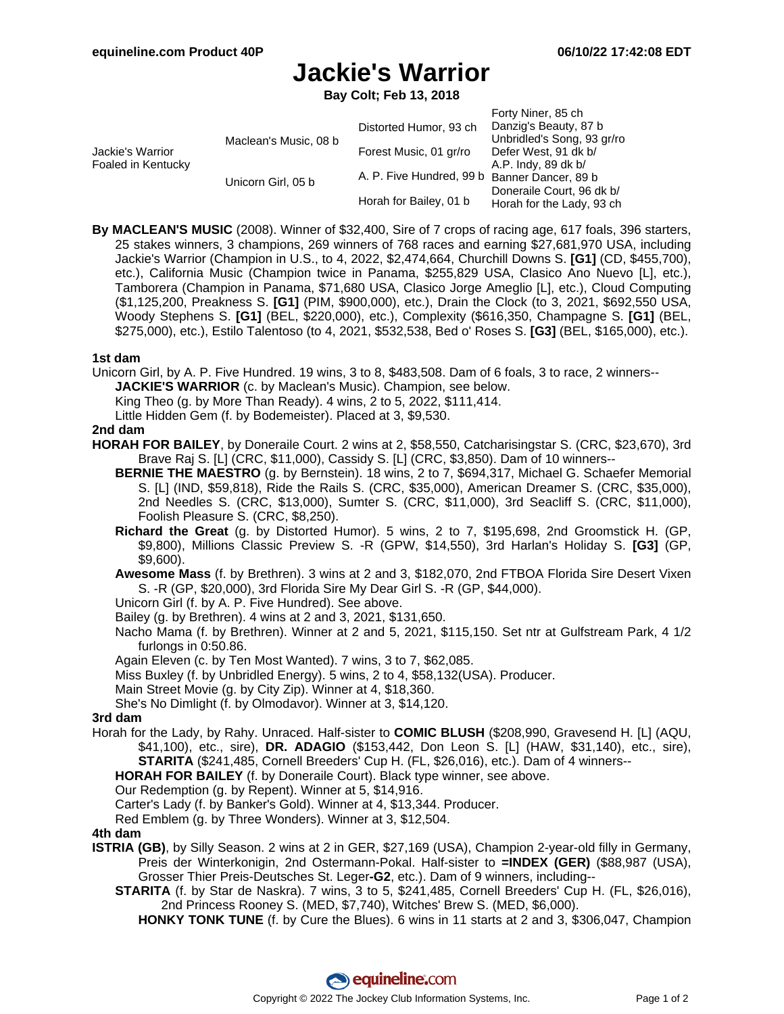Forty Niner, 85 ch

# **Jackie's Warrior**

**Bay Colt; Feb 13, 2018**

|                                        |                       |                                              | FUILY INITIBI, OD CIT      |
|----------------------------------------|-----------------------|----------------------------------------------|----------------------------|
| Jackie's Warrior<br>Foaled in Kentucky | Maclean's Music, 08 b | Distorted Humor, 93 ch                       | Danzig's Beauty, 87 b      |
|                                        |                       |                                              | Unbridled's Song, 93 gr/ro |
|                                        |                       | Forest Music, 01 gr/ro                       | Defer West, 91 dk b/       |
|                                        | Unicorn Girl, 05 b    |                                              | A.P. Indy, 89 dk b/        |
|                                        |                       | A. P. Five Hundred, 99 b Banner Dancer, 89 b |                            |
|                                        |                       |                                              | Doneraile Court, 96 dk b/  |
|                                        |                       | Horah for Bailey, 01 b                       | Horah for the Lady, 93 ch  |

**By MACLEAN'S MUSIC** (2008). Winner of \$32,400, Sire of 7 crops of racing age, 617 foals, 396 starters, 25 stakes winners, 3 champions, 269 winners of 768 races and earning \$27,681,970 USA, including Jackie's Warrior (Champion in U.S., to 4, 2022, \$2,474,664, Churchill Downs S. **[G1]** (CD, \$455,700), etc.), California Music (Champion twice in Panama, \$255,829 USA, Clasico Ano Nuevo [L], etc.), Tamborera (Champion in Panama, \$71,680 USA, Clasico Jorge Ameglio [L], etc.), Cloud Computing (\$1,125,200, Preakness S. **[G1]** (PIM, \$900,000), etc.), Drain the Clock (to 3, 2021, \$692,550 USA, Woody Stephens S. **[G1]** (BEL, \$220,000), etc.), Complexity (\$616,350, Champagne S. **[G1]** (BEL, \$275,000), etc.), Estilo Talentoso (to 4, 2021, \$532,538, Bed o' Roses S. **[G3]** (BEL, \$165,000), etc.).

#### **1st dam**

- Unicorn Girl, by A. P. Five Hundred. 19 wins, 3 to 8, \$483,508. Dam of 6 foals, 3 to race, 2 winners-- **JACKIE'S WARRIOR** (c. by Maclean's Music). Champion, see below.
	- King Theo (g. by More Than Ready). 4 wins, 2 to 5, 2022, \$111,414.
	- Little Hidden Gem (f. by Bodemeister). Placed at 3, \$9,530.

### **2nd dam**

- **HORAH FOR BAILEY**, by Doneraile Court. 2 wins at 2, \$58,550, Catcharisingstar S. (CRC, \$23,670), 3rd Brave Raj S. [L] (CRC, \$11,000), Cassidy S. [L] (CRC, \$3,850). Dam of 10 winners--
	- **BERNIE THE MAESTRO** (g. by Bernstein). 18 wins, 2 to 7, \$694,317, Michael G. Schaefer Memorial S. [L] (IND, \$59,818), Ride the Rails S. (CRC, \$35,000), American Dreamer S. (CRC, \$35,000), 2nd Needles S. (CRC, \$13,000), Sumter S. (CRC, \$11,000), 3rd Seacliff S. (CRC, \$11,000), Foolish Pleasure S. (CRC, \$8,250).
	- **Richard the Great** (g. by Distorted Humor). 5 wins, 2 to 7, \$195,698, 2nd Groomstick H. (GP, \$9,800), Millions Classic Preview S. -R (GPW, \$14,550), 3rd Harlan's Holiday S. **[G3]** (GP, \$9,600).
	- **Awesome Mass** (f. by Brethren). 3 wins at 2 and 3, \$182,070, 2nd FTBOA Florida Sire Desert Vixen S. -R (GP, \$20,000), 3rd Florida Sire My Dear Girl S. -R (GP, \$44,000).
	- Unicorn Girl (f. by A. P. Five Hundred). See above.
	- Bailey (g. by Brethren). 4 wins at 2 and 3, 2021, \$131,650.
	- Nacho Mama (f. by Brethren). Winner at 2 and 5, 2021, \$115,150. Set ntr at Gulfstream Park, 4 1/2 furlongs in 0:50.86.
	- Again Eleven (c. by Ten Most Wanted). 7 wins, 3 to 7, \$62,085.
	- Miss Buxley (f. by Unbridled Energy). 5 wins, 2 to 4, \$58,132(USA). Producer.
	- Main Street Movie (g. by City Zip). Winner at 4, \$18,360.
	- She's No Dimlight (f. by Olmodavor). Winner at 3, \$14,120.

### **3rd dam**

- Horah for the Lady, by Rahy. Unraced. Half-sister to **COMIC BLUSH** (\$208,990, Gravesend H. [L] (AQU, \$41,100), etc., sire), **DR. ADAGIO** (\$153,442, Don Leon S. [L] (HAW, \$31,140), etc., sire), **STARITA** (\$241,485, Cornell Breeders' Cup H. (FL, \$26,016), etc.). Dam of 4 winners-- **HORAH FOR BAILEY** (f. by Doneraile Court). Black type winner, see above.
	- Our Redemption (g. by Repent). Winner at 5, \$14,916.

Carter's Lady (f. by Banker's Gold). Winner at 4, \$13,344. Producer.

Red Emblem (g. by Three Wonders). Winner at 3, \$12,504.

### **4th dam**

- **ISTRIA (GB)**, by Silly Season. 2 wins at 2 in GER, \$27,169 (USA), Champion 2-year-old filly in Germany, Preis der Winterkonigin, 2nd Ostermann-Pokal. Half-sister to **=INDEX (GER)** (\$88,987 (USA), Grosser Thier Preis-Deutsches St. Leger**-G2**, etc.). Dam of 9 winners, including--
	- **STARITA** (f. by Star de Naskra). 7 wins, 3 to 5, \$241,485, Cornell Breeders' Cup H. (FL, \$26,016), 2nd Princess Rooney S. (MED, \$7,740), Witches' Brew S. (MED, \$6,000). **HONKY TONK TUNE** (f. by Cure the Blues). 6 wins in 11 starts at 2 and 3, \$306,047, Champion